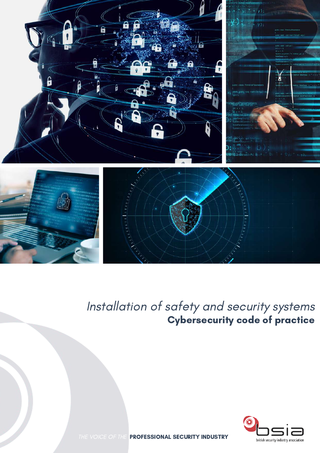

### Installation of safety and security systems Cybersecurity code of practice



THE VOICE OF THE PROFESSIONAL SECURITY INDUSTRY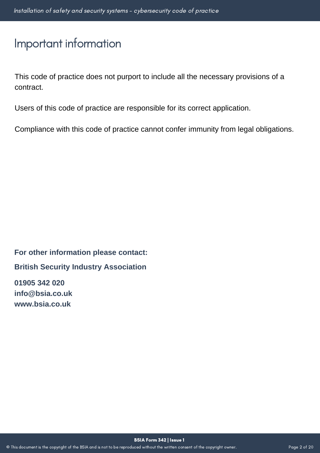### Important information

This code of practice does not purport to include all the necessary provisions of a contract.

Users of this code of practice are responsible for its correct application.

Compliance with this code of practice cannot confer immunity from legal obligations.

**For other information please contact:**

**British Security Industry Association**

**01905 342 020 info@bsia.co.uk www.bsia.co.uk**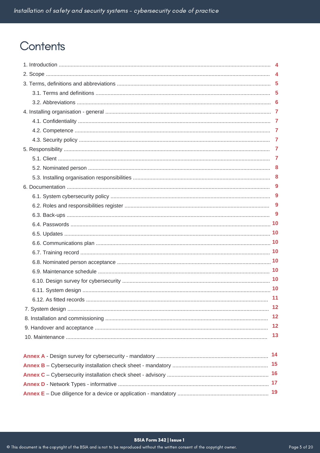### Contents

| 9         |
|-----------|
| 9         |
| 9         |
| 9         |
|           |
|           |
|           |
|           |
|           |
|           |
|           |
| 10        |
| 11        |
| 12        |
| 12        |
| 12        |
| 13        |
|           |
| 14        |
| 15        |
|           |
| 17        |
| <b>19</b> |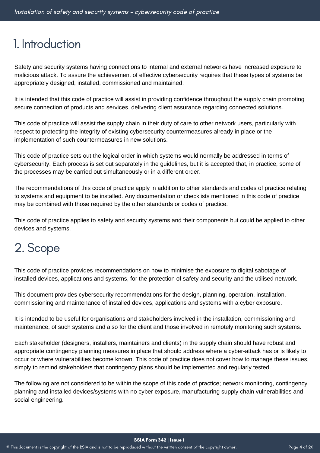### 1. Introduction

Safety and security systems having connections to internal and external networks have increased exposure to malicious attack. To assure the achievement of effective cybersecurity requires that these types of systems be appropriately designed, installed, commissioned and maintained.

It is intended that this code of practice will assist in providing confidence throughout the supply chain promoting secure connection of products and services, delivering client assurance regarding connected solutions.

This code of practice will assist the supply chain in their duty of care to other network users, particularly with respect to protecting the integrity of existing cybersecurity countermeasures already in place or the implementation of such countermeasures in new solutions.

This code of practice sets out the logical order in which systems would normally be addressed in terms of cybersecurity. Each process is set out separately in the guidelines, but it is accepted that, in practice, some of the processes may be carried out simultaneously or in a different order.

The recommendations of this code of practice apply in addition to other standards and codes of practice relating to systems and equipment to be installed. Any documentation or checklists mentioned in this code of practice may be combined with those required by the other standards or codes of practice.

This code of practice applies to safety and security systems and their components but could be applied to other devices and systems.

## 2. Scope

This code of practice provides recommendations on how to minimise the exposure to digital sabotage of installed devices, applications and systems, for the protection of safety and security and the utilised network.

This document provides cybersecurity recommendations for the design, planning, operation, installation, commissioning and maintenance of installed devices, applications and systems with a cyber exposure.

It is intended to be useful for organisations and stakeholders involved in the installation, commissioning and maintenance, of such systems and also for the client and those involved in remotely monitoring such systems.

Each stakeholder (designers, installers, maintainers and clients) in the supply chain should have robust and appropriate contingency planning measures in place that should address where a cyber-attack has or is likely to occur or where vulnerabilities become known. This code of practice does not cover how to manage these issues, simply to remind stakeholders that contingency plans should be implemented and regularly tested.

The following are not considered to be within the scope of this code of practice; network monitoring, contingency planning and installed devices/systems with no cyber exposure, manufacturing supply chain vulnerabilities and social engineering.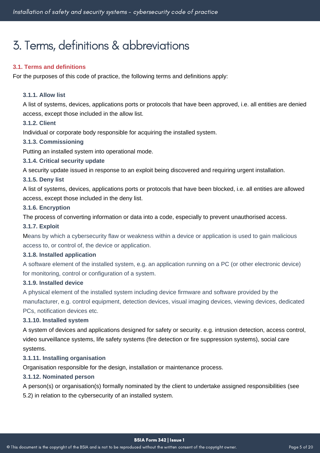## 3. Terms, definitions&abbreviations

#### **3.1. Terms and definitions**

For the purposes of this code of practice, the following terms and definitions apply:

#### **3.1.1. Allow list**

A list of systems, devices, applications ports or protocols that have been approved, i.e. all entities are denied access, except those included in the allow list.

#### **3.1.2. Client**

Individual or corporate body responsible for acquiring the installed system.

#### **3.1.3. Commissioning**

Putting an installed system into operational mode.

#### **3.1.4. Critical security update**

A security update issued in response to an exploit being discovered and requiring urgent installation.

### **3.1.5. Deny list**

A list of systems, devices, applications ports or protocols that have been blocked, i.e. all entities are allowed access, except those included in the deny list.

#### **3.1.6. Encryption**

The process of converting information or data into a code, especially to prevent unauthorised access.

#### **3.1.7. Exploit**

Means by which a cybersecurity flaw or weakness within a device or application is used to gain malicious access to, or control of, the device or application.

#### **3.1.8. Installed application**

A software element of the installed system, e.g. an application running on a PC (or other electronic device) for monitoring, control or configuration of a system.

#### **3.1.9. Installed device**

A physical element of the installed system including device firmware and software provided by the manufacturer, e.g. control equipment, detection devices, visual imaging devices, viewing devices, dedicated PCs, notification devices etc.

#### **3.1.10. Installed system**

A system of devices and applications designed for safety or security. e.g. intrusion detection, access control, video surveillance systems, life safety systems (fire detection or fire suppression systems), social care systems.

#### **3.1.11. Installing organisation**

Organisation responsible for the design, installation or maintenance process.

#### **3.1.12. Nominated person**

A person(s) or organisation(s) formally nominated by the client to undertake assigned responsibilities (see 5.2) in relation to the cybersecurity of an installed system.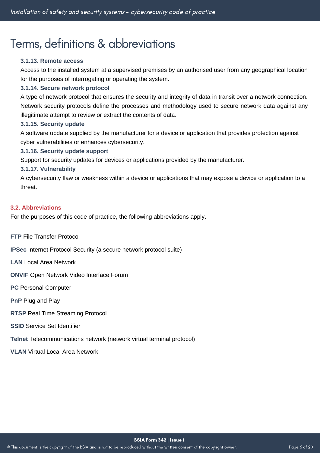### Terms, definitions&abbreviations

#### **3.1.13. Remote access**

Access to the installed system at a supervised premises by an authorised user from any geographical location for the purposes of interrogating or operating the system.

#### **3.1.14. Secure network protocol**

A type of network protocol that ensures the security and integrity of data in transit over a network connection. Network security protocols define the processes and methodology used to secure network data against any illegitimate attempt to review or extract the contents of data.

#### **3.1.15. Security update**

A software update supplied by the manufacturer for a device or application that provides protection against cyber vulnerabilities or enhances cybersecurity.

#### **3.1.16. Security update support**

Support for security updates for devices or applications provided by the manufacturer.

#### **3.1.17. Vulnerability**

n cyperae<br>threat. A cybersecurity flaw or weakness within a device or applications that may expose a device or application to a

#### **3.2. Abbreviations**

For the purposes of this code of practice, the following abbreviations apply.

**FTP** File Transfer Protocol

**IPSec** Internet Protocol Security (a secure network protocol suite)

**LAN** Local Area Network

**ONVIF** Open Network Video Interface Forum

**PC** Personal Computer

**PnP** Plug and Play

**RTSP** Real Time Streaming Protocol

**SSID** Service Set Identifier

**Telnet** Telecommunications network (network virtual terminal protocol)

**VLAN** Virtual Local Area Network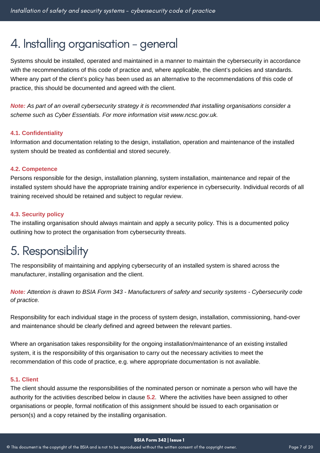### 4. Installing organisation - general

Systems should be installed, operated and maintained in a manner to maintain the cybersecurity in accordance with the recommendations of this code of practice and, where applicable, the client's policies and standards. Where any part of the client's policy has been used as an alternative to the recommendations of this code of practice, this should be documented and agreed with the client.

*Note: As part of an overall cybersecurity strategy it is recommended that installing organisations consider a scheme such as Cyber Essentials. For more information visit www.ncsc.gov.uk.*

#### **4.1. Confidentiality**

Information and documentation relating to the design, installation, operation and maintenance of the installed system should be treated as confidential and stored securely.

#### **4.2. Competence**

r croons responsible for the aesign, installation planning, system installation, maintenance and repair or the<br>installed system should have the appropriate training and/or experience in cybersecurity. Individual records of Persons responsible for the design, installation planning, system installation, maintenance and repair of the training received should be retained and subject to regular review.

#### **4.3. Security policy**

The installing organisation should always maintain and apply a security policy. This is a documented policy outlining how to protect the organisation from cybersecurity threats.

### 5. Responsibility

The responsibility of maintaining and applying cybersecurity of an installed system is shared across the manufacturer, installing organisation and the client.

Note: Attention is drawn to BSIA Form 343 - Manufacturers of safety and security systems - Cybersecurity code *of practice.*

Responsibility for each individual stage in the process of system design, installation, commissioning, hand-over and maintenance should be clearly defined and agreed between the relevant parties.

Where an organisation takes responsibility for the ongoing installation/maintenance of an existing installed system, it is the responsibility of this organisation to carry out the necessary activities to meet the recommendation of this code of practice, e.g. where appropriate documentation is not available.

#### **5.1. Client**

The client should assume the responsibilities of the nominated person or nominate a person who will have the authority for the activities described below in clause **5.2**. Where the activities have been assigned to other organisations or people, formal notification of this assignment should be issued to each organisation or person(s) and a copy retained by the installing organisation.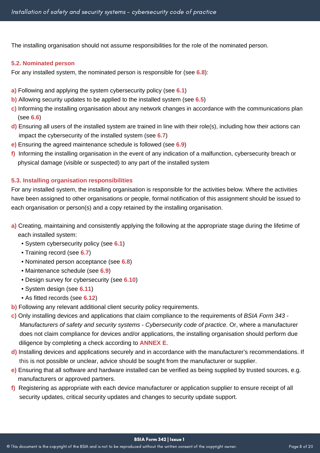The installing organisation should not assume responsibilities for the role of the nominated person.

#### **5.2. Nominated person**

For any installed system, the nominated person is responsible for (see **6.8**):

- **a)** Following and applying the system cybersecurity policy (see **6.1**)
- **b)** Allowing security updates to be applied to the installed system (see **6.5**)
- **c)** Informing the installing organisation about any network changes in accordance with the communications plan **6.** (see **6.6**)
- **d)** Ensuring all users of the installed system are trained in line with their role(s), including how their actions can impact the cybersecurity of the installed system (see 6.7)
- **e)** Ensuring the agreed maintenance schedule is followed (see **6.9**)
- **f)** Informing the installing organisation in the event of any indication of a malfunction, cybersecurity breach or phphysical damage (visible or suspected) to any part of the installed system

### 5.3. Installing organisation responsibilities<br>-

For any installed system, the installing organisation is responsible for the activities below. Where the activities have been assigned to other organisations or people, formal notification of this assignment should be issued to each organisation or person(s) and a copy retained by the installing organisation.

- **a)** Creating, maintaining and consistently applying the following at the appropriate stage during the lifetime of each installed system:
	- System cybersecurity policy (see **6.1**)
	- Training record (see **6.7**)
	- Nominated person acceptance (see **6.8**)
	- Maintenance schedule (see **6.9**)
	- Design survey for cybersecurity (see **6.10**)
	- System design (see **6.11**)
	- As fitted records (see **6.12**)
- **b)** Following any relevant additional client security policy requirements.
- **c)** Only installing devices and applications that claim compliance to the requirements of *BSIA Form 343 - Manufacturers of safety and security systems - Cybersecurity code of practice. Or, where a manufacturer* does not claim compliance for devices and/or applications, the installing organisation should perform due diligence by completing a check according to **ANNEX E**.
- **d)** Installing devices and applications securely and in accordance with the manufacturer's recommendations. If this is not possible or unclear, advice should be sought from the manufacturer or supplier.
- **e)** Ensuring that all software and hardware installed can be verified as being supplied by trusted sources, e.g. manufacturers or approved partners.
- **f)** Registering as appropriate with each device manufacturer or application supplier to ensure receipt of all security updates, critical security updates and changes to security update support.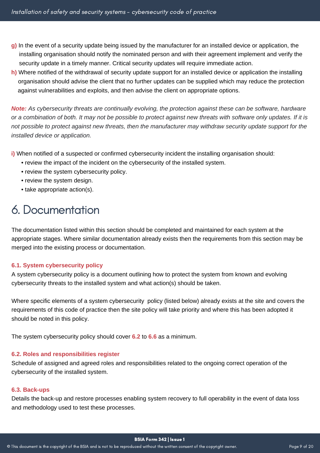- **g**) In the event of a security update being issued by the manufacturer for an installed device or application, the installing organisation should notify the nominated person and with their agreement implement and verify the security update in a timely manner. Critical security updates will require immediate action.
- **h)** Where notified of the withdrawal of security update support for an installed device or application the installing or organisation should advise the client that no further updates can be supplied which may reduce the protection against vulnerabilities and exploits, and then advise the client on appropriate options.

*Note: As cybersecurity threats are continually evolving, the protection against these can be software, hardware or a combination of both. It may not be possible to protect against new threats with software only updates. If it is not possible to protect against new threats, then the manufacturer may withdraw security update support for the installed device or application.*

**i)** When notified of a suspected or confirmed cybersecurity incident the installing organisation should:

- review the impact of the incident on the cybersecurity of the installed system.
- review the system cybersecurity policy.
- review the system design.
- take appropriate action(s).

### 6. Documentation

The documentation listed within this section should be completed and maintained for each system at the appropriate stages. Where similar documentation already exists then the requirements from this section may be merged into the existing process or documentation.

#### **6.1. System cybersecurity policy**

A system cybersecurity policy is a document outlining how to protect the system from known and evolving cybersecurity threats to the installed system and what action(s) should be taken.

Where specific elements of a system cybersecurity policy (listed below) already exists at the site and covers the requirements of this code of practice then the site policy will take priority and where this has been adopted it should be noted in this policy.

The system cybersecurity policy should cover **6.2** to **6.6** as a minimum.

#### **6.2. Roles and responsibilities register**

Schedule of assigned and agreed roles and responsibilities related to the ongoing correct operation of the cybersecurity of the installed system.

#### **6.3. Back-ups**

Details the back-up and restore processes enabling system recovery to full operability in the event of data loss and methodology used to test these processes.

BSIA Form 342 | Issue 1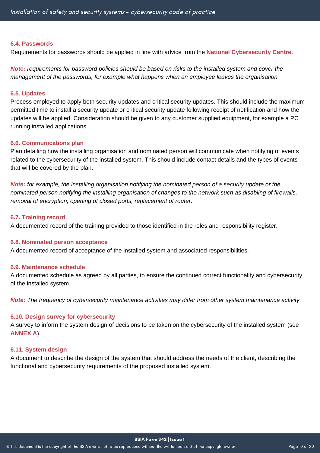#### **6.4. Passwords**

Requirements for passwords should be applied in line with advice from the **[National Cybersecurity Centre.](http://www.ncsc.gov.uk/)**

*Note: requirements for password policies should be based on risks to the installed system and cover the management of the passwords, for example what happens when an employee leaves the organisation.*

#### **6.5. Updates**

Process employed to apply both security updates and critical security updates. This should include the maximum permitted time to install a security update or critical security update following receipt of notification and how the updates will be applied. Consideration should be given to any customer supplied equipment, for example a PC running installed applications.

#### **6.6. Communications plan**

Plan detailing how the installing organisation and nominated person will communicate when notifying of events related to the cybersecurity of the installed system. This should include contact details and the types of events that will be covered by the plan.

**Note:** for example, the installing organisation notifying the nominated person of a security update or the *nominated person notifying the installing organisation of changes to the network such as disabling of firewalls, removal of encryption, opening of closed ports, replacement of router.*

#### **6.7. Training record**

A documented record of the training provided to those identified in the roles and responsibility register.

#### **6.8. Nominated person acceptance**

A documented record of acceptance of the installed system and associated responsibilities.

#### **6.9. Maintenance schedule**

A documented schedule as agreed by all parties, to ensure the continued correct functionality and cybersecurity of the installed system.

*Note: The frequency of cybersecurity maintenance activities may differ from other system maintenance activity.*

#### **6.10. Design survey for cybersecurity**

A survey to inform the system design of decisions to be taken on the cybersecurity of the installed system (see **ANNEX A**).

#### **6.11. System design**

A document to describe the design of the system that should address the needs of the client, describing the functional and cybersecurity requirements of the proposed installed system.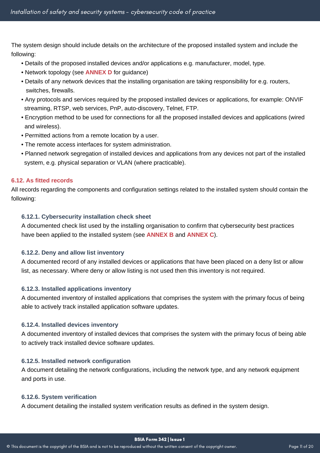The system design should include details on the architecture of the proposed installed system and include the following:

- Details of the proposed installed devices and/or applications e.g. manufacturer, model, type.
- Network topology (see **ANNEX D** for guidance)
- Details of any network devices that the installing organisation are taking responsibility for e.g. routers, switches, firewalls.
- Any protocols and services required by the proposed installed devices or applications, for example: ONVIF streaming, RTSP, web services, PnP, auto-discovery, Telnet, FTP.
- Encryption method to be used for connections for all the proposed installed devices and applications (wired and wireless).
- Permitted actions from a remote location by a user.
- The remote access interfaces for system administration.
- Planned network segregation of installed devices and applications from any devices not part of the installed system, e.g. physical separation or VLAN (where practicable).

### **6.12. As fitted records**

All records regarding the components and configuration settings related to the installed system should contain the following:

#### **6.12.1. Cybersecurity installation check sheet**

A documented check list used by the installing organisation to confirm that cybersecurity best practices have been applied to the installed system (see **ANNEX B** and **ANNEX C**).

#### **6.12.2. Deny and allow list inventory**

A documented record of any installed devices or applications that have been placed on a deny list or allow list, as necessary. Where deny or allow listing is not used then this inventory is not required.

#### **6.12.3. Installed applications inventory**

A documented inventory of installed applications that comprises the system with the primary focus of being able to actively track installed application software updates.

#### **6.12.4. Installed devices inventory**

A documented inventory of installed devices that comprises the system with the primary focus of being able to actively track installed device software updates.

#### **6.12.5. Installed network configuration**

A document detailing the network configurations, including the network type, and any network equipment and ports in use.

#### **6.12.6. System verification**

A document detailing the installed system verification results as defined in the system design.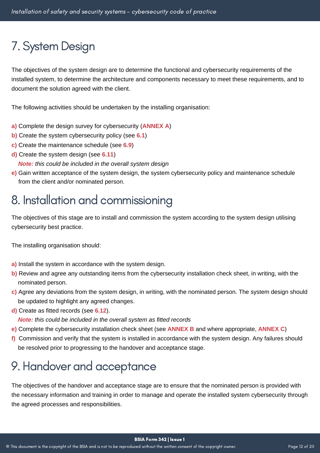# 7. System Design

The objectives of the system design are to determine the functional and cybersecurity requirements of the installed system, to determine the architecture and components necessary to meet these requirements, and to document the solution agreed with the client.

The following activities should be undertaken by the installing organisation:

- **a)** Complete the design survey for cybersecurity (**ANNEX A**)
- **b)** Create the system cybersecurity policy (see **6.1**)
- **c)** Create the maintenance schedule (see **6.9**)
- **d)** Create the system design (see **6.11**)

 *Note: this could be included in the overall system design*

**e)** Gain written acceptance of the system design, the system cybersecurity policy and maintenance schedule from the client and/or nominated person.

## 8. Installation and commissioning

The objectives of this stage are to install and commission the system according to the system design utilising cybersecurity best practice.

The installing organisation should:

- **a)** Install the system in accordance with the system design.
- **b)** Review and agree any outstanding items from the cybersecurity installation check sheet, in writing, with the nominated person.
- **c)** Agree any deviations from the system design, in writing, with the nominated person. The system design should be updated to highlight any agreed changes.
- **d)** Create as fitted records (see **6.12**).

*Note: this could be included in the overall system as fitted records*

- **e)** Complete the cybersecurity installation check sheet (see **ANNEX B** and where appropriate, **ANNEX C**)
- **f)** Commission and verify that the system is installed in accordance with the system design. Any failures should be resolved prior to progressing to the handover and acceptance stage.

## 9. Handover and acceptance

The objectives of the handover and acceptance stage are to ensure that the nominated person is provided with the necessary information and training in order to manage and operate the installed system cybersecurity through the agreed processes and responsibilities.

BSIA Form 342 | Issue 1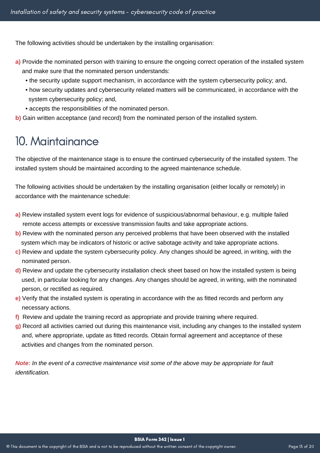The following activities should be undertaken by the installing organisation:

- **a)** Provide the nominated person with training to ensure the ongoing correct operation of the installed system and make sure that the nominated person understands:
	- the security update support mechanism, in accordance with the system cybersecurity policy; and,
	- how security updates and cybersecurity related matters will be communicated, in accordance with the system cybersecurity policy; and,
	- accepts the responsibilities of the nominated person.
- **b)** Gain written acceptance (and record) from the nominated person of the installed system.

### 10. Maintainance

The objective of the maintenance stage is to ensure the continued cybersecurity of the installed system. The installed system should be maintained according to the agreed maintenance schedule.

The following activities should be undertaken by the installing organisation (either locally or remotely) in accordance with the maintenance schedule:

- **a)** Review installed system event logs for evidence of suspicious/abnormal behaviour, e.g. multiple failed rerremote access attempts or excessive transmission faults and take appropriate actions.
- **b)** Review with the nominated person any perceived problems that have been observed with the installed system which may be indicators of historic or active sabotage activity and take appropriate actions.
- **c)** Review and update the system cybersecurity policy. Any changes should be agreed, in writing, with the nominated person.
- **d)** Review and update the cybersecurity installation check sheet based on how the installed system is being used, in particular looking for any changes. Any changes should be agreed, in writing, with the nominated person, or rectified as required.
- **e)** Verify that the installed system is operating in accordance with the as fitted records and perform any necessary actions.
- **f)** Review and update the training record as appropriate and provide training where required.
- **g)** Record all activities carried out during this maintenance visit, including any changes to the installed system and, where appropriate, update as fitted records. Obtain formal agreement and acceptance of these activities and changes from the nominated person.

Note: In the event of a corrective maintenance visit some of the above may be appropriate for fault *identification.*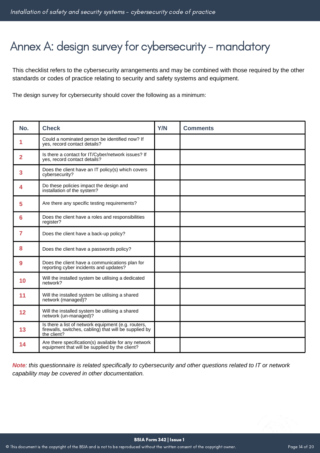# Annex A: design survey for cybersecurity - mandatory

This checklist refers to the cybersecurity arrangements and may be combined with those required by the other standards or codes of practice relating to security and safety systems and equipment.

The design survey for cybersecurity should cover the following as a minimum:

| No. | <b>Check</b>                                                                                                                 | <b>Y/N</b> | <b>Comments</b> |
|-----|------------------------------------------------------------------------------------------------------------------------------|------------|-----------------|
| 1   | Could a nominated person be identified now? If<br>yes, record contact details?                                               |            |                 |
| 2   | Is there a contact for IT/Cyber/network issues? If<br>yes, record contact details?                                           |            |                 |
| 3   | Does the client have an IT policy(s) which covers<br>cybersecurity?                                                          |            |                 |
| 4   | Do these policies impact the design and<br>installation of the system?                                                       |            |                 |
| 5   | Are there any specific testing requirements?                                                                                 |            |                 |
| 6   | Does the client have a roles and responsibilities<br>register?                                                               |            |                 |
| 7   | Does the client have a back-up policy?                                                                                       |            |                 |
| 8   | Does the client have a passwords policy?                                                                                     |            |                 |
| 9   | Does the client have a communications plan for<br>reporting cyber incidents and updates?                                     |            |                 |
| 10  | Will the installed system be utilising a dedicated<br>network?                                                               |            |                 |
| 11  | Will the installed system be utilising a shared<br>network (managed)?                                                        |            |                 |
| 12  | Will the installed system be utilising a shared<br>network (un-managed)?                                                     |            |                 |
| 13  | Is there a list of network equipment (e.g. routers,<br>firewalls, switches, cabling) that will be supplied by<br>the client? |            |                 |
| 14  | Are there specification(s) available for any network<br>equipment that will be supplied by the client?                       |            |                 |

Note: this questionnaire is related specifically to cybersecurity and other questions related to IT or network *capability may be covered in other documentation.*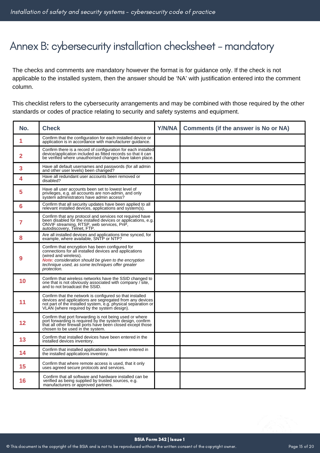### Annex B: cybersecurity installation checksheet - mandatory

The checks and comments are mandatory however the format is for guidance only. If the check is not applicable to the installed system, then the answer should be 'NA' with justification entered into the comment column.

This checklist refers to the cybersecurity arrangements and may be combined with those required by the other standards or codes of practice relating to security and safety systems and equipment.

| No. | <b>Check</b>                                                                                                                                                                                                                                                   | <b>Y/N/NA</b> | <b>Comments (if the answer is No or NA)</b> |
|-----|----------------------------------------------------------------------------------------------------------------------------------------------------------------------------------------------------------------------------------------------------------------|---------------|---------------------------------------------|
| 1   | Confirm that the configuration for each installed device or<br>application is in accordance with manufacturer quidance.                                                                                                                                        |               |                                             |
| 2   | Confirm there is a record of configuration for each installed<br>device/application included as fitted records so that it can<br>be verified where unauthorised changes have taken place.                                                                      |               |                                             |
| 3   | Have all default usernames and passwords (for all admin<br>and other user levels) been changed?                                                                                                                                                                |               |                                             |
| 4   | Have all redundant user accounts been removed or<br>disabled?                                                                                                                                                                                                  |               |                                             |
| 5   | Have all user accounts been set to lowest level of<br>privileges, e.g. all accounts are non-admin, and only<br>system administrators have admin access?                                                                                                        |               |                                             |
| 6   | Confirm that all security updates have been applied to all<br>relevant installed devices, applications and system(s).                                                                                                                                          |               |                                             |
| 7   | Confirm that any protocol and services not required have<br>been disabled for the installed devices or applications, e.g.<br>ONVIF streaming, RTSP, web services, PnP,<br>autodiscovery, Telnet, FTP.                                                          |               |                                             |
| 8   | Are all installed devices and applications time synced, for<br>example, where available, SNTP or NTP?                                                                                                                                                          |               |                                             |
| g   | Confirm that encryption has been configured for<br>connections for all installed devices and applications<br>(wired and wireless).<br>Note: consideration should be given to the encryption<br>technique used, as some techniques offer greater<br>protection. |               |                                             |
| 10  | Confirm that wireless networks have the SSID changed to<br>one that is not obviously associated with company / site,<br>and to not broadcast the SSID.                                                                                                         |               |                                             |
| 11  | Confirm that the network is configured so that installed<br>devices and applications are segregated from any devices<br>not part of the installed system, e.g. physical separation or<br>VLAN (where required by the system design).                           |               |                                             |
| 12  | Confirm that port forwarding is not being used or where<br>port forwarding is required by the system design, confirm<br>that all other firewall ports have been closed except those<br>chosen to be used in the system.                                        |               |                                             |
| 13  | Confirm that installed devices have been entered in the<br>installed devices inventory.                                                                                                                                                                        |               |                                             |
| 14  | Confirm that installed applications have been entered in<br>the installed applications inventory.                                                                                                                                                              |               |                                             |
| 15  | Confirm that where remote access is used, that it only<br>uses agreed secure protocols and services.                                                                                                                                                           |               |                                             |
| 16  | Confirm that all software and hardware installed can be<br>verified as being supplied by trusted sources, e.g.<br>manufacturers or approved partners.                                                                                                          |               |                                             |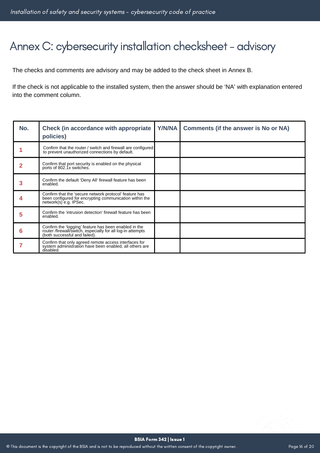### Annex C: cybersecurity installation checksheet - advisory

The checks and comments are advisory and may be added to the check sheet in Annex B.

If the check is not applicable to the installed system, then the answer should be 'NA' with explanation entered into the comment column.

| No. | <b>Check (in accordance with appropriate)</b><br>policies)                                                                                            | Y/N/NA | <b>Comments (if the answer is No or NA)</b> |
|-----|-------------------------------------------------------------------------------------------------------------------------------------------------------|--------|---------------------------------------------|
|     | Confirm that the router / switch and firewall are configured<br>to prevent unauthorized connections by default.                                       |        |                                             |
|     | Confirm that port security is enabled on the physical<br>ports of 802.1x switches.                                                                    |        |                                             |
| 3   | Confirm the default 'Deny All' firewall feature has been<br>enabled.                                                                                  |        |                                             |
|     | Confirm that the 'secure network protocol' feature has<br>been configured for encrypting communication within the<br>network(s) e.g. IPSec.           |        |                                             |
| 5   | Confirm the 'intrusion detection' firewall feature has been<br>enabled.                                                                               |        |                                             |
| 6   | Confirm the 'logging' feature has been enabled in the<br>router /firewall/switch, especially for all log-in attempts<br>(both successful and failed). |        |                                             |
|     | Confirm that only agreed remote access interfaces for<br>system administration have been enabled, all others are<br>disabled.                         |        |                                             |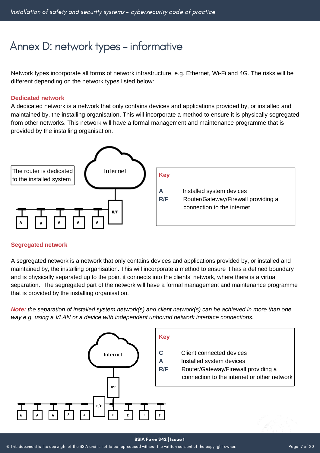### Annex D: network types - informative

Network types incorporate all forms of network infrastructure, e.g. Ethernet, Wi-Fi and 4G. The risks will be different depending on the network types listed below:

#### **Dedicated network**

A dedicated network is a network that only contains devices and applications provided by, or installed and maintained by, the installing organisation. This will incorporate a method to ensure it is physically segregated from other networks. This network will have a formal management and maintenance programme that is provided by the installing organisation.



#### **Segregated network**

A segregated network is a network that only contains devices and applications provided by, or installed and maintained by, the installing organisation. This will incorporate a method to ensure it has a defined boundary and is physically separated up to the point it connects into the clients' network, where there is a virtual separation. The segregated part of the network will have a formal management and maintenance programme that is provided by the installing organisation.

Note: the separation of installed system network(s) and client network(s) can be achieved in more than one *way e.g. using a VLAN or a device with independent unbound network interface connections.*



#### BSIA Form 342 | Issue 1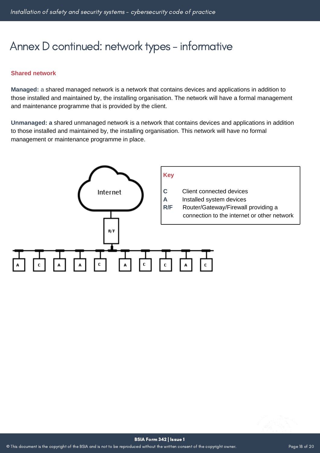### Annex D continued: network types - informative

#### **Shared network**

**Managed:** a shared managed network is a network that contains devices and applications in addition to those installed and maintained by, the installing organisation. The network will have a formal management and maintenance programme that is provided by the client.

**Unmanaged: a** shared unmanaged network is a network that contains devices and applications in addition to those installed and maintained by, the installing organisation. This network will have no formal management or maintenance programme in place.

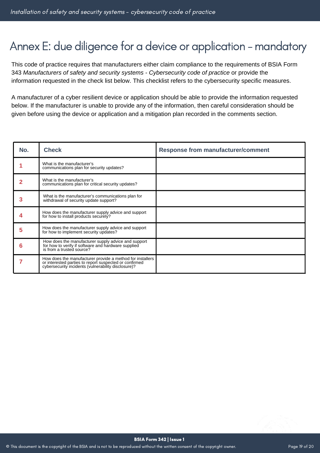### Annex E: due diligence for a device or application - mandatory

This code of practice requires that manufacturers either claim compliance to the requirements of BSIA Form 343 *Manufacturers of safety and security systems - Cybersecurity code of practice* or provide the information requested in the check list below. This checklist refers to the cybersecurity specific measures.

A manufacturer of a cyber resilient device or application should be able to provide the information requested below. If the manufacturer is unable to provide any of the information, then careful consideration should be given before using the device or application and a mitigation plan recorded in the comments section.

| No. | <b>Check</b>                                                                                                                                                               | <b>Response from manufacturer/comment</b> |
|-----|----------------------------------------------------------------------------------------------------------------------------------------------------------------------------|-------------------------------------------|
|     | What is the manufacturer's<br>communications plan for security updates?                                                                                                    |                                           |
|     | What is the manufacturer's<br>communications plan for critical security updates?                                                                                           |                                           |
|     | What is the manufacturer's communications plan for<br>withdrawal of security update support?                                                                               |                                           |
|     | How does the manufacturer supply advice and support<br>for how to install products securely?                                                                               |                                           |
| 5   | How does the manufacturer supply advice and support<br>for how to implement security updates?                                                                              |                                           |
| 6   | How does the manufacturer supply advice and support<br>for how to verify if software and hardware supplied<br>is from a trusted source?                                    |                                           |
|     | How does the manufacturer provide a method for installers<br>or interested parties to report suspected or confirmed<br>cybersecurity incidents (vulnerability disclosure)? |                                           |